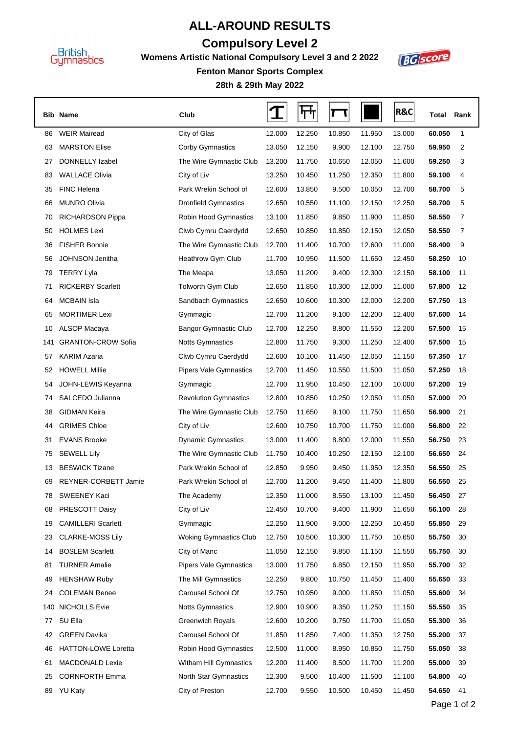

## **ALL-AROUND RESULTS**

## **Compulsory Level 2**

**Womens Artistic National Compulsory Level 3 and 2 2022**



**28th & 29th May 2022 Fenton Manor Sports Complex**

|     | <b>Bib Name</b>            | Club                          |        | ┞┯     |        |        | <b>R&amp;C</b> | Total  | Rank |
|-----|----------------------------|-------------------------------|--------|--------|--------|--------|----------------|--------|------|
| 86  | <b>WEIR Mairead</b>        | City of Glas                  | 12.000 | 12.250 | 10.850 | 11.950 | 13.000         | 60.050 | 1    |
| 63  | <b>MARSTON Elise</b>       | <b>Corby Gymnastics</b>       | 13.050 | 12.150 | 9.900  | 12.100 | 12.750         | 59.950 | 2    |
| 27  | DONNELLY Izabel            | The Wire Gymnastic Club       | 13.200 | 11.750 | 10.650 | 12.050 | 11.600         | 59.250 | 3    |
| 83  | <b>WALLACE Olivia</b>      | City of Liv                   | 13.250 | 10.450 | 11.250 | 12.350 | 11.800         | 59.100 | 4    |
| 35  | <b>FINC Helena</b>         | Park Wrekin School of         | 12.600 | 13.850 | 9.500  | 10.050 | 12.700         | 58.700 | 5    |
| 66  | <b>MUNRO Olivia</b>        | <b>Dronfield Gymnastics</b>   | 12.650 | 10.550 | 11.100 | 12.150 | 12.250         | 58.700 | 5    |
| 70  | <b>RICHARDSON Pippa</b>    | Robin Hood Gymnastics         | 13.100 | 11.850 | 9.850  | 11.900 | 11.850         | 58.550 | 7    |
| 50  | <b>HOLMES Lexi</b>         | Clwb Cymru Caerdydd           | 12.650 | 10.850 | 10.850 | 12.150 | 12.050         | 58.550 | 7    |
| 36  | <b>FISHER Bonnie</b>       | The Wire Gymnastic Club       | 12.700 | 11.400 | 10.700 | 12.600 | 11.000         | 58.400 | 9    |
| 56  | <b>JOHNSON Jenitha</b>     | <b>Heathrow Gym Club</b>      | 11.700 | 10.950 | 11.500 | 11.650 | 12.450         | 58.250 | 10   |
| 79  | <b>TERRY Lyla</b>          | The Meapa                     | 13.050 | 11.200 | 9.400  | 12.300 | 12.150         | 58.100 | 11   |
| 71  | <b>RICKERBY Scarlett</b>   | Tolworth Gym Club             | 12.650 | 11.850 | 10.300 | 12.000 | 11.000         | 57.800 | 12   |
| 64  | <b>MCBAIN Isla</b>         | Sandbach Gymnastics           | 12.650 | 10.600 | 10.300 | 12.000 | 12.200         | 57.750 | 13   |
| 65  | <b>MORTIMER Lexi</b>       | Gymmagic                      | 12.700 | 11.200 | 9.100  | 12.200 | 12.400         | 57.600 | 14   |
| 10  | ALSOP Macaya               | <b>Bangor Gymnastic Club</b>  | 12.700 | 12.250 | 8.800  | 11.550 | 12.200         | 57.500 | 15   |
| 141 | <b>GRANTON-CROW Sofia</b>  | <b>Notts Gymnastics</b>       | 12.800 | 11.750 | 9.300  | 11.250 | 12.400         | 57.500 | 15   |
| 57  | <b>KARIM Azaria</b>        | Clwb Cymru Caerdydd           | 12.600 | 10.100 | 11.450 | 12.050 | 11.150         | 57.350 | 17   |
| 52  | <b>HOWELL Millie</b>       | <b>Pipers Vale Gymnastics</b> | 12.700 | 11.450 | 10.550 | 11.500 | 11.050         | 57.250 | 18   |
| 54  | JOHN-LEWIS Keyanna         | Gymmagic                      | 12.700 | 11.950 | 10.450 | 12.100 | 10.000         | 57.200 | 19   |
| 74  | SALCEDO Julianna           | <b>Revolution Gymnastics</b>  | 12.800 | 10.850 | 10.250 | 12.050 | 11.050         | 57.000 | 20   |
| 38  | <b>GIDMAN Keira</b>        | The Wire Gymnastic Club       | 12.750 | 11.650 | 9.100  | 11.750 | 11.650         | 56.900 | 21   |
| 44  | <b>GRIMES Chloe</b>        | City of Liv                   | 12.600 | 10.750 | 10.700 | 11.750 | 11.000         | 56.800 | 22   |
| 31  | <b>EVANS Brooke</b>        | <b>Dynamic Gymnastics</b>     | 13.000 | 11.400 | 8.800  | 12.000 | 11.550         | 56.750 | 23   |
| 75  | <b>SEWELL Lily</b>         | The Wire Gymnastic Club       | 11.750 | 10.400 | 10.250 | 12.150 | 12.100         | 56.650 | 24   |
| 13  | <b>BESWICK Tizane</b>      | Park Wrekin School of         | 12.850 | 9.950  | 9.450  | 11.950 | 12.350         | 56.550 | 25   |
| 69  | REYNER-CORBETT Jamie       | Park Wrekin School of         | 12.700 | 11.200 | 9.450  | 11.400 | 11.800         | 56.550 | 25   |
| 78  | SWEENEY Kaci               | The Academy                   | 12.350 | 11.000 | 8.550  | 13.100 | 11.450         | 56.450 | 27   |
| 68  | PRESCOTT Daisy             | City of Liv                   | 12.450 | 10.700 | 9.400  | 11.900 | 11.650         | 56.100 | 28   |
| 19  | <b>CAMILLERI Scarlett</b>  | Gymmagic                      | 12.250 | 11.900 | 9.000  | 12.250 | 10.450         | 55.850 | 29   |
| 23  | <b>CLARKE-MOSS Lily</b>    | <b>Woking Gymnastics Club</b> | 12.750 | 10.500 | 10.300 | 11.750 | 10.650         | 55.750 | 30   |
| 14  | <b>BOSLEM Scarlett</b>     | City of Manc                  | 11.050 | 12.150 | 9.850  | 11.150 | 11.550         | 55.750 | 30   |
| 81  | <b>TURNER Amalie</b>       | <b>Pipers Vale Gymnastics</b> | 13.000 | 11.750 | 6.850  | 12.150 | 11.950         | 55.700 | 32   |
| 49  | <b>HENSHAW Ruby</b>        | The Mill Gymnastics           | 12.250 | 9.800  | 10.750 | 11.450 | 11.400         | 55.650 | 33   |
| 24  | <b>COLEMAN Renee</b>       | Carousel School Of            | 12.750 | 10.950 | 9.000  | 11.850 | 11.050         | 55.600 | 34   |
|     | 140 NICHOLLS Evie          | <b>Notts Gymnastics</b>       | 12.900 | 10.900 | 9.350  | 11.250 | 11.150         | 55.550 | 35   |
| 77  | SU Ella                    | <b>Greenwich Royals</b>       | 12.600 | 10.200 | 9.750  | 11.700 | 11.050         | 55.300 | 36   |
| 42  | <b>GREEN Davika</b>        | Carousel School Of            | 11.850 | 11.850 | 7.400  | 11.350 | 12.750         | 55.200 | 37   |
| 46  | <b>HATTON-LOWE Loretta</b> | Robin Hood Gymnastics         | 12.500 | 11.000 | 8.950  | 10.850 | 11.750         | 55.050 | 38   |
| 61  | MACDONALD Lexie            | Witham Hill Gymnastics        | 12.200 | 11.400 | 8.500  | 11.700 | 11.200         | 55.000 | 39   |
| 25  | <b>CORNFORTH Emma</b>      | North Star Gymnastics         | 12.300 | 9.500  | 10.400 | 11.500 | 11.100         | 54.800 | 40   |
|     | 89 YU Katy                 | City of Preston               | 12.700 | 9.550  | 10.500 | 10.450 | 11.450         | 54.650 | 41   |